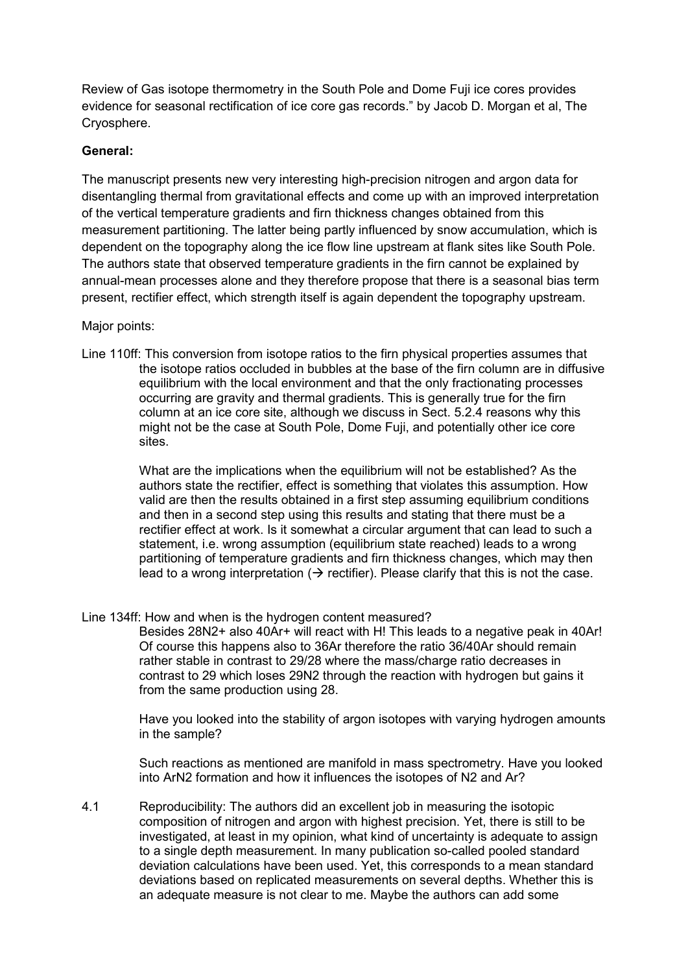Review of Gas isotope thermometry in the South Pole and Dome Fuji ice cores provides evidence for seasonal rectification of ice core gas records." by Jacob D. Morgan et al, The Cryosphere.

## **General:**

The manuscript presents new very interesting high-precision nitrogen and argon data for disentangling thermal from gravitational effects and come up with an improved interpretation of the vertical temperature gradients and firn thickness changes obtained from this measurement partitioning. The latter being partly influenced by snow accumulation, which is dependent on the topography along the ice flow line upstream at flank sites like South Pole. The authors state that observed temperature gradients in the firn cannot be explained by annual-mean processes alone and they therefore propose that there is a seasonal bias term present, rectifier effect, which strength itself is again dependent the topography upstream.

Major points:

Line 110ff: This conversion from isotope ratios to the firn physical properties assumes that the isotope ratios occluded in bubbles at the base of the firn column are in diffusive equilibrium with the local environment and that the only fractionating processes occurring are gravity and thermal gradients. This is generally true for the firn column at an ice core site, although we discuss in Sect. 5.2.4 reasons why this might not be the case at South Pole, Dome Fuji, and potentially other ice core sites.

> What are the implications when the equilibrium will not be established? As the authors state the rectifier, effect is something that violates this assumption. How valid are then the results obtained in a first step assuming equilibrium conditions and then in a second step using this results and stating that there must be a rectifier effect at work. Is it somewhat a circular argument that can lead to such a statement, i.e. wrong assumption (equilibrium state reached) leads to a wrong partitioning of temperature gradients and firn thickness changes, which may then lead to a wrong interpretation  $($   $\rightarrow$  rectifier). Please clarify that this is not the case.

Line 134ff: How and when is the hydrogen content measured?

Besides 28N2+ also 40Ar+ will react with H! This leads to a negative peak in 40Ar! Of course this happens also to 36Ar therefore the ratio 36/40Ar should remain rather stable in contrast to 29/28 where the mass/charge ratio decreases in contrast to 29 which loses 29N2 through the reaction with hydrogen but gains it from the same production using 28.

Have you looked into the stability of argon isotopes with varying hydrogen amounts in the sample?

Such reactions as mentioned are manifold in mass spectrometry. Have you looked into ArN2 formation and how it influences the isotopes of N2 and Ar?

4.1 Reproducibility: The authors did an excellent job in measuring the isotopic composition of nitrogen and argon with highest precision. Yet, there is still to be investigated, at least in my opinion, what kind of uncertainty is adequate to assign to a single depth measurement. In many publication so-called pooled standard deviation calculations have been used. Yet, this corresponds to a mean standard deviations based on replicated measurements on several depths. Whether this is an adequate measure is not clear to me. Maybe the authors can add some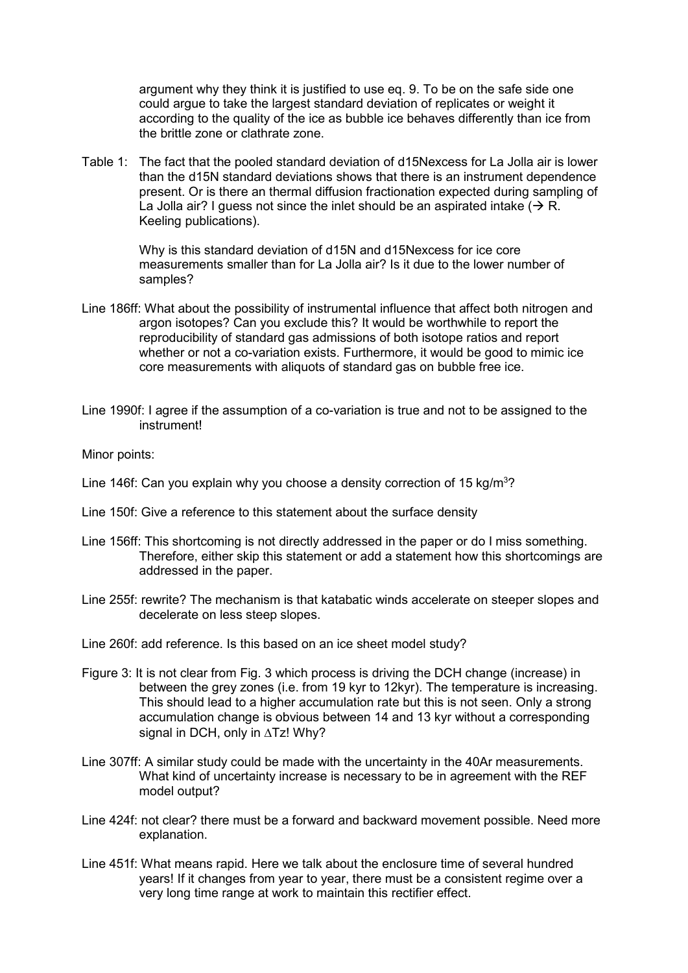argument why they think it is justified to use eq. 9. To be on the safe side one could argue to take the largest standard deviation of replicates or weight it according to the quality of the ice as bubble ice behaves differently than ice from the brittle zone or clathrate zone.

Table 1: The fact that the pooled standard deviation of d15Nexcess for La Jolla air is lower than the d15N standard deviations shows that there is an instrument dependence present. Or is there an thermal diffusion fractionation expected during sampling of La Jolla air? I guess not since the inlet should be an aspirated intake ( $\rightarrow$  R. Keeling publications).

> Why is this standard deviation of d15N and d15Nexcess for ice core measurements smaller than for La Jolla air? Is it due to the lower number of samples?

- Line 186ff: What about the possibility of instrumental influence that affect both nitrogen and argon isotopes? Can you exclude this? It would be worthwhile to report the reproducibility of standard gas admissions of both isotope ratios and report whether or not a co-variation exists. Furthermore, it would be good to mimic ice core measurements with aliquots of standard gas on bubble free ice.
- Line 1990f: I agree if the assumption of a co-variation is true and not to be assigned to the instrument!

Minor points:

- Line 146f: Can you explain why you choose a density correction of 15 kg/m<sup>3</sup>?
- Line 150f: Give a reference to this statement about the surface density
- Line 156ff: This shortcoming is not directly addressed in the paper or do I miss something. Therefore, either skip this statement or add a statement how this shortcomings are addressed in the paper.
- Line 255f: rewrite? The mechanism is that katabatic winds accelerate on steeper slopes and decelerate on less steep slopes.

Line 260f: add reference. Is this based on an ice sheet model study?

- Figure 3: It is not clear from Fig. 3 which process is driving the DCH change (increase) in between the grey zones (i.e. from 19 kyr to 12kyr). The temperature is increasing. This should lead to a higher accumulation rate but this is not seen. Only a strong accumulation change is obvious between 14 and 13 kyr without a corresponding signal in DCH, only in ∆Tz! Why?
- Line 307ff: A similar study could be made with the uncertainty in the 40Ar measurements. What kind of uncertainty increase is necessary to be in agreement with the REF model output?
- Line 424f: not clear? there must be a forward and backward movement possible. Need more explanation.
- Line 451f: What means rapid. Here we talk about the enclosure time of several hundred years! If it changes from year to year, there must be a consistent regime over a very long time range at work to maintain this rectifier effect.